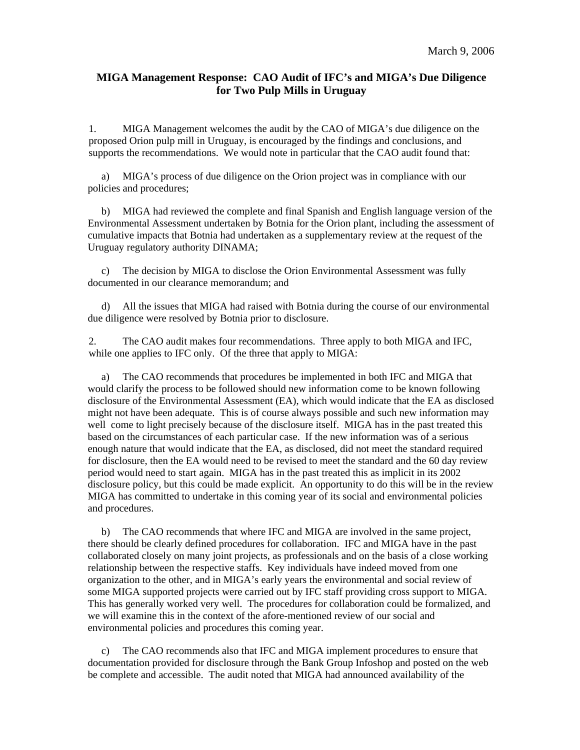## **MIGA Management Response: CAO Audit of IFC's and MIGA's Due Diligence for Two Pulp Mills in Uruguay**

1. MIGA Management welcomes the audit by the CAO of MIGA's due diligence on the proposed Orion pulp mill in Uruguay, is encouraged by the findings and conclusions, and supports the recommendations. We would note in particular that the CAO audit found that:

MIGA's process of due diligence on the Orion project was in compliance with our policies and procedures;

b) MIGA had reviewed the complete and final Spanish and English language version of the Environmental Assessment undertaken by Botnia for the Orion plant, including the assessment of cumulative impacts that Botnia had undertaken as a supplementary review at the request of the Uruguay regulatory authority DINAMA;

c) The decision by MIGA to disclose the Orion Environmental Assessment was fully documented in our clearance memorandum; and

d) All the issues that MIGA had raised with Botnia during the course of our environmental due diligence were resolved by Botnia prior to disclosure.

2. The CAO audit makes four recommendations. Three apply to both MIGA and IFC, while one applies to IFC only. Of the three that apply to MIGA:

The CAO recommends that procedures be implemented in both IFC and MIGA that would clarify the process to be followed should new information come to be known following disclosure of the Environmental Assessment (EA), which would indicate that the EA as disclosed might not have been adequate. This is of course always possible and such new information may well come to light precisely because of the disclosure itself. MIGA has in the past treated this based on the circumstances of each particular case. If the new information was of a serious enough nature that would indicate that the EA, as disclosed, did not meet the standard required for disclosure, then the EA would need to be revised to meet the standard and the 60 day review period would need to start again. MIGA has in the past treated this as implicit in its 2002 disclosure policy, but this could be made explicit. An opportunity to do this will be in the review MIGA has committed to undertake in this coming year of its social and environmental policies and procedures.

b) The CAO recommends that where IFC and MIGA are involved in the same project, there should be clearly defined procedures for collaboration. IFC and MIGA have in the past collaborated closely on many joint projects, as professionals and on the basis of a close working relationship between the respective staffs. Key individuals have indeed moved from one organization to the other, and in MIGA's early years the environmental and social review of some MIGA supported projects were carried out by IFC staff providing cross support to MIGA. This has generally worked very well. The procedures for collaboration could be formalized, and we will examine this in the context of the afore-mentioned review of our social and environmental policies and procedures this coming year.

c) The CAO recommends also that IFC and MIGA implement procedures to ensure that documentation provided for disclosure through the Bank Group Infoshop and posted on the web be complete and accessible. The audit noted that MIGA had announced availability of the